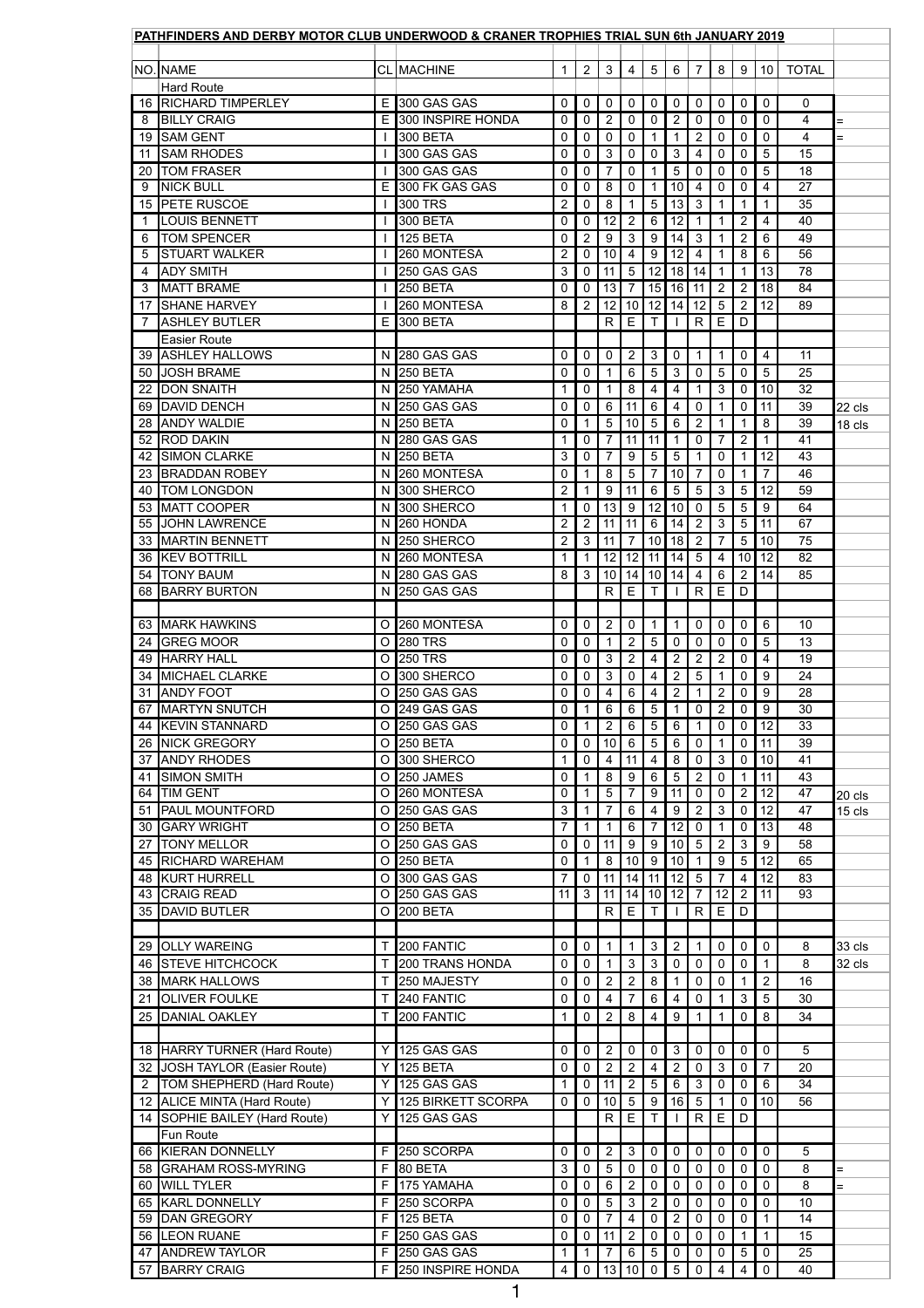|                | PATHFINDERS AND DERBY MOTOR CLUB UNDERWOOD & CRANER TROPHIES TRIAL SUN 6th JANUARY 2019 |                      |                                        |                     |                     |                     |                               |                     |                                  |                      |                     |                            |                      |                 |               |
|----------------|-----------------------------------------------------------------------------------------|----------------------|----------------------------------------|---------------------|---------------------|---------------------|-------------------------------|---------------------|----------------------------------|----------------------|---------------------|----------------------------|----------------------|-----------------|---------------|
|                | NO. NAME                                                                                |                      | <b>CL MACHINE</b>                      | 1                   | $2^{\circ}$         | $\mathbf{3}$        | $\overline{4}$                | $5\phantom{.0}$     | $6\phantom{1}$                   | $7^{\circ}$          | 8                   | 9                          | 10 <sup>1</sup>      | <b>TOTAL</b>    |               |
|                | <b>Hard Route</b>                                                                       |                      |                                        |                     |                     |                     |                               |                     |                                  |                      |                     |                            |                      |                 |               |
|                | 16 RICHARD TIMPERLEY                                                                    |                      | $E$ 300 GAS GAS                        | 0                   | 0                   | $\mathbf 0$         | $\mathbf 0$                   | 0                   | 0                                | 0                    | $\mathbf 0$         | $\mathbf 0$                | $\mathbf 0$          | $\mathbf 0$     |               |
| 8              | <b>BILLY CRAIG</b>                                                                      |                      | E 300 INSPIRE HONDA<br><b>300 BETA</b> | 0                   | 0                   | $\overline{2}$      | 0                             | 0                   | $\overline{2}$                   | 0                    | 0                   | $\mathbf 0$                | 0                    | 4               | $=$           |
| 11             | 19 SAM GENT<br><b>SAM RHODES</b>                                                        |                      | 300 GAS GAS                            | 0<br>0              | 0<br>0              | $\mathbf 0$<br>3    | $\mathbf 0$<br>0              | $\mathbf 1$<br>0    | 3                                | $\overline{2}$<br>4  | $\mathbf 0$<br>0    | $\mathbf 0$<br>$\mathbf 0$ | 0<br>5               | 4<br>15         | $=$           |
| 20             | <b>TOM FRASER</b>                                                                       |                      | 300 GAS GAS                            | 0                   | 0                   | $\overline{7}$      | $\mathbf 0$                   | 1                   | 5                                | 0                    | $\overline{0}$      | $\mathbf 0$                | 5                    | 18              |               |
| 9              | <b>NICK BULL</b>                                                                        |                      | E 300 FK GAS GAS                       | 0                   | 0                   | 8                   | 0                             | 1                   | 10                               | 4                    | 0                   | $\mathbf 0$                | 4                    | 27              |               |
|                | 15 PETE RUSCOE                                                                          |                      | 300 TRS                                | $\overline{2}$      | 0                   | 8                   | 1                             | $\sqrt{5}$          | 13                               | $\mathbf{3}$         | 1                   | 1                          | 1                    | 35              |               |
|                | <b>LOUIS BENNETT</b>                                                                    |                      | 300 BETA                               | 0                   | 0                   | 12                  | $\overline{2}$                | 6                   | 12                               |                      |                     | $\overline{2}$             | 4                    | 40              |               |
| 6<br>5         | <b>TOM SPENCER</b><br><b>STUART WALKER</b>                                              |                      | 125 BETA<br>260 MONTESA                | 0<br>$\overline{2}$ | $\overline{2}$<br>0 | $9\,$<br>10         | 3<br>4                        | $9\,$<br>9          | 14<br>12                         | 3<br>4               |                     | $\overline{2}$<br>8        | 6<br>6               | 49<br>56        |               |
| 4              | <b>ADY SMITH</b>                                                                        |                      | 250 GAS GAS                            | 3                   | 0                   | 11                  | $5\phantom{.0}$               | 12                  | 18                               | 14                   | $\mathbf 1$         | $\mathbf{1}$               | 13                   | 78              |               |
| 3              | <b>MATT BRAME</b>                                                                       |                      | <b>250 BETA</b>                        | 0                   | 0                   | 13                  | $\overline{7}$                | 15                  | 16                               | 11                   | $\overline{2}$      | 2                          | 18                   | 84              |               |
| 17             | <b>SHANE HARVEY</b>                                                                     |                      | 260 MONTESA                            | 8                   | $\overline{2}$      | 12                  | 10 <sup>°</sup>               | 12                  | 14                               | 12                   | 5                   | $\overline{2}$             | 12                   | 89              |               |
| 7              | <b>ASHLEY BUTLER</b>                                                                    |                      | $E$ 300 BETA                           |                     |                     | R                   | E                             |                     |                                  | R                    | E.                  | D                          |                      |                 |               |
|                | <b>Easier Route</b><br><b>39 ASHLEY HALLOWS</b>                                         |                      | N 280 GAS GAS                          | 0                   | 0                   | 0                   | $\overline{2}$                | 3                   | 0                                |                      | 1.                  | $\mathbf 0$                | 4                    | 11              |               |
| 50             | <b>JOSH BRAME</b>                                                                       |                      | N 250 BETA                             | 0                   | 0                   |                     | 6                             | 5                   | 3                                | 0                    | 5                   | $\mathbf 0$                | 5                    | 25              |               |
| 22             | <b>DON SNAITH</b>                                                                       |                      | $\overline{N}$ 250 YAMAHA              |                     | 0                   |                     | 8                             | 4                   | 4                                |                      | 3                   | $\mathbf 0$                | 10                   | 32              |               |
|                | 69 DAVID DENCH                                                                          |                      | N 250 GAS GAS                          | 0                   | 0                   | $6\phantom{1}$      | 11                            | $\,6$               | 4                                | 0                    | 1                   | $\mathbf 0$                | 11                   | 39              | 22 cls        |
| 28             | <b>ANDY WALDIE</b>                                                                      |                      | N 250 BETA                             | 0                   |                     | 5                   | 10                            | 5                   | 6                                | 2                    |                     | 1                          | 8                    | 39              | 18 cls        |
| 52<br>42       | <b>ROD DAKIN</b><br><b>SIMON CLARKE</b>                                                 |                      | N 280 GAS GAS<br>N 250 BETA            | 1<br>3              | 0<br>0              | $\overline{7}$<br>7 | 11<br>9                       | 11<br>5             | 5                                | 0                    | $\overline{7}$<br>0 | $\overline{2}$<br>1        | $\overline{1}$<br>12 | 41<br>43        |               |
|                | 23 BRADDAN ROBEY                                                                        |                      | N 260 MONTESA                          | 0                   | $\mathbf 1$         | 8                   | $5\phantom{.0}$               | $\overline{7}$      | 10 <sup>1</sup>                  | $\overline{7}$       | $\overline{0}$      | $\mathbf{1}$               | $\overline{7}$       | 46              |               |
|                | 40   TOM LONGDON                                                                        |                      | N 300 SHERCO                           | $\overline{2}$      | 1                   | 9                   | 11                            | $6 \mid$            | 5 <sup>1</sup>                   | 5 <sup>5</sup>       | 3                   | $5\phantom{.0}$            | 12                   | 59              |               |
|                | 53 MATT COOPER                                                                          |                      | N 300 SHERCO                           | $\mathbf 1$         | $\overline{0}$      | 13                  | 9                             | 12                  | 10 <sup>1</sup>                  | $\overline{0}$       | 5                   | 5                          | 9                    | 64              |               |
|                | 55 JOHN LAWRENCE                                                                        |                      | N 260 HONDA                            | $\overline{2}$      | $\overline{2}$      | 11                  | 11                            | $6\overline{6}$     | 14                               | $\overline{2}$       | 3                   | $5\phantom{.0}$            | 11                   | 67              |               |
|                | 33 MARTIN BENNETT<br><b>36 KEV BOTTRILL</b>                                             |                      | N 250 SHERCO<br>N 260 MONTESA          | $\overline{2}$      | $\mathbf{3}$        | 11                  | $\overline{7}$                | 10                  | 18                               | $\overline{2}$       | $\overline{7}$      | $5\overline{)}$            | 10                   | 75<br>82        |               |
| 54             | <b>TONY BAUM</b>                                                                        |                      | $\overline{N}$ 280 GAS GAS             | 8                   | 3                   | 12<br>10            | 12   11                       | 14 10               | 14<br>14                         | $5\phantom{.0}$<br>4 | 4<br>$6\phantom{1}$ | 10 <sup>1</sup><br>2       | 12<br>14             | 85              |               |
|                | 68 BARRY BURTON                                                                         |                      | N 250 GAS GAS                          |                     |                     | R                   | E                             |                     |                                  | $\mathsf{R}$         | E.                  | D                          |                      |                 |               |
|                |                                                                                         |                      |                                        |                     |                     |                     |                               |                     |                                  |                      |                     |                            |                      |                 |               |
|                | 63 MARK HAWKINS                                                                         |                      | O 260 MONTESA                          | 0                   | 0                   | $\overline{2}$      | $\mathbf 0$                   | 1                   |                                  | 0                    | $\overline{0}$      | $\mathbf 0$                | 6                    | 10 <sup>1</sup> |               |
|                | 24 GREG MOOR                                                                            |                      | O 280 TRS                              | 0                   | 0                   |                     | $\overline{2}$                | $5\phantom{.0}$     | $\mathbf 0$                      | 0                    | $\overline{0}$      | $\mathbf 0$                | 5                    | 13<br>19        |               |
| 49             | <b>HARRY HALL</b><br>34 MICHAEL CLARKE                                                  |                      | O 250 TRS<br>O 300 SHERCO              | 0<br>0              | 0<br>$\overline{0}$ | 3<br>3              | $\overline{2}$<br>$\mathbf 0$ | 4<br>4              | $\overline{2}$<br>$\overline{2}$ | $\overline{2}$<br>5  | $\overline{2}$      | $\mathbf 0$<br>$\mathbf 0$ | 4<br>9               | 24              |               |
| 31             | <b>ANDY FOOT</b>                                                                        |                      | O 250 GAS GAS                          | 0                   | 0                   | 4                   | 6                             | 4                   | 2                                |                      | $\overline{2}$      | $\mathbf 0$                | 9                    | 28              |               |
| 67             | <b>MARTYN SNUTCH</b>                                                                    |                      | O 249 GAS GAS                          | 0                   |                     | $6\phantom{1}$      | $6\phantom{1}$                | 5                   |                                  | 0                    | $\overline{2}$      | $\mathbf 0$                | $\boldsymbol{9}$     | 30              |               |
|                | 44 KEVIN STANNARD                                                                       |                      | O 250 GAS GAS                          | 0                   |                     | $\overline{2}$      | 6                             | 5                   | 6                                |                      | 0                   | $\mathbf 0$                | 12                   | 33              |               |
|                | 26 NICK GREGORY                                                                         |                      | O 250 BETA                             | 0                   | $\mathbf 0$         | 10                  | $6\phantom{1}$                | 5                   | 6                                | $\overline{0}$       | $\mathbf 1$         | $\mathbf 0$                | 11                   | 39              |               |
| 37<br>41       | <b>ANDY RHODES</b><br><b>SIMON SMITH</b>                                                |                      | O 300 SHERCO<br>O 250 JAMES            | $\mathbf 0$         | 0                   | 4<br>8              | 11<br>$9\,$                   | 4<br>6              | 8<br>5                           | 0<br>$\overline{2}$  | 3<br>$\mathbf 0$    | $\mathbf 0$<br>1           | 10<br>11             | 41<br>43        |               |
| 64             | <b>TIM GENT</b>                                                                         |                      | O 260 MONTESA                          | 0                   |                     | 5                   | 7                             | 9                   | 11                               | 0                    | 0                   | 2                          | 12                   | 47              | 20 cls        |
| 51             | <b>PAUL MOUNTFORD</b>                                                                   |                      | O 250 GAS GAS                          | 3                   |                     | $\overline{7}$      | 6                             | 4                   | 9                                | $\overline{2}$       | $\mathbf{3}$        | $\mathbf 0$                | 12                   | 47              | 15 cls        |
| 30             | <b>GARY WRIGHT</b>                                                                      |                      | O 250 BETA                             | 7                   |                     |                     | 6                             | 7                   | 12                               | 0                    |                     | $\mathbf 0$                | 13                   | 48              |               |
| 27             | <b>TONY MELLOR</b><br>45 RICHARD WAREHAM                                                |                      | O 250 GAS GAS<br>O 250 BETA            | 0                   | 0                   | 11                  | 9                             | $9\,$               | 10 <sup>°</sup>                  | 5                    | $\overline{2}$      | 3<br>$5\phantom{.0}$       | $9\,$                | 58<br>65        |               |
|                | 48 KURT HURRELL                                                                         |                      | O 300 GAS GAS                          | 0<br>$\overline{7}$ | $\overline{0}$      | 8<br>11             | 10<br>14                      | 9<br>11             | 10<br>12                         | $5\phantom{.0}$      | 9<br>$\overline{7}$ | $\overline{4}$             | 12<br>12             | 83              |               |
|                | 43 CRAIG READ                                                                           |                      | O 250 GAS GAS                          | 11                  | 3                   | 11                  |                               | $14$   10           | 12                               |                      | 12                  | $\overline{2}$             | 11                   | 93              |               |
|                | 35 DAVID BUTLER                                                                         |                      | O 200 BETA                             |                     |                     | R                   | E                             | $\mathsf{T}$        |                                  | $\mathsf{R}$         | E                   | D                          |                      |                 |               |
|                |                                                                                         |                      |                                        |                     |                     |                     |                               |                     |                                  |                      |                     |                            |                      |                 |               |
|                | 29 OLLY WAREING                                                                         |                      | 200 FANTIC                             | 0                   | $\overline{0}$      | 1 <sup>1</sup>      | $\mathbf{1}$                  | 3 <sup>1</sup>      | $\overline{2}$                   | $\mathbf 1$          | $\mathbf 0$         | $\overline{0}$             | $\mathbf 0$          | 8               | <b>33 cls</b> |
|                | <b>46 STEVE HITCHCOCK</b>                                                               |                      | T 200 TRANS HONDA                      | 0                   | $\mathbf 0$         |                     | $\mathbf{3}$                  | 3                   | 0                                | $\overline{0}$       | $\overline{0}$      | $\mathbf 0$                |                      | 8               | $32$ cls      |
| 21             | <b>38 MARK HALLOWS</b><br><b>OLIVER FOULKE</b>                                          |                      | T 250 MAJESTY<br>240 FANTIC            | 0<br>0              | 0<br>0              | $\overline{2}$<br>4 | 2                             | 8<br>6              |                                  | 0<br>0               | $\overline{0}$      | 3                          | $\overline{2}$<br>5  | 16<br>30        |               |
|                | 25 DANIAL OAKLEY                                                                        |                      | 200 FANTIC                             |                     | 0                   | $\overline{2}$      | 8                             | 4                   | 9                                |                      |                     | $\overline{0}$             | 8                    | 34              |               |
|                |                                                                                         |                      |                                        |                     |                     |                     |                               |                     |                                  |                      |                     |                            |                      |                 |               |
|                | 18 HARRY TURNER (Hard Route)                                                            |                      | $Y$ 125 GAS GAS                        | 0                   | 0                   | $\overline{2}$      | 0                             | 0                   | 3                                | 0                    | 0                   | $\mathbf 0$                | 0                    | 5               |               |
| 32             | JOSH TAYLOR (Easier Route)                                                              | $Y \mid$             | 125 BETA                               | 0                   | $\mathbf 0$         | $\overline{2}$      | $\overline{2}$                | 4                   | $\overline{2}$                   | 0                    | 3                   | $\mathbf 0$                | $\overline{7}$       | 20              |               |
| $\overline{2}$ | <b>TOM SHEPHERD (Hard Route)</b>                                                        |                      | 125 GAS GAS                            |                     | 0                   | 11                  | $\overline{2}$                | 5                   | 6                                | 3.                   | 0                   | $\mathbf 0$                | 6                    | 34              |               |
|                | 12 ALICE MINTA (Hard Route)<br>14 SOPHIE BAILEY (Hard Route)                            | $Y \mid$<br>$Y \mid$ | 125 BIRKETT SCORPA<br>125 GAS GAS      | $\mathbf 0$         | $\mathbf 0$         | 10<br>R             | 5<br>Е                        | 9                   | 16                               | 5<br>R               | E.                  | $\mathbf 0$<br>D           | 10                   | 56              |               |
|                | Fun Route                                                                               |                      |                                        |                     |                     |                     |                               |                     |                                  |                      |                     |                            |                      |                 |               |
|                | 66 KIERAN DONNELLY                                                                      |                      | F 250 SCORPA                           | 0                   | 0                   | $\overline{2}$      | 3                             | 0                   | 0                                | 0                    | 0                   | $\mathbf 0$                | 0                    | 5               |               |
|                | 58 GRAHAM ROSS-MYRING                                                                   |                      | $F$ 80 BETA                            | 3                   | 0                   | 5                   | $\mathbf 0$                   | 0                   | 0                                | 0                    | $\overline{0}$      | $\mathbf 0$                | 0                    | 8               | $\equiv$      |
|                | 60 WILL TYLER                                                                           |                      | $F$ 175 YAMAHA                         | 0                   | 0                   | 6                   | $\overline{2}$                | 0                   | $\mathbf 0$                      | 0                    | 0                   | $\mathbf 0$                | 0                    | 8               | $=$           |
| 65<br>59       | <b>KARL DONNELLY</b><br>DAN GREGORY                                                     |                      | F 250 SCORPA<br>$F$   125 BETA         | 0<br>0              | 0<br>0              | 5                   | 3<br>4                        | $\overline{2}$<br>0 | 0<br>2                           | 0<br>0               | $\mathbf 0$<br>0    | $\mathbf 0$<br>$\mathbf 0$ | 0                    | 10<br>14        |               |
|                | 56 LEON RUANE                                                                           |                      | $F$ 250 GAS GAS                        | 0                   | $\mathbf 0$         | 11                  | $\overline{2}$                | 0                   | 0                                | 0                    | $\overline{0}$      |                            | 1                    | 15              |               |
| 47             | <b>ANDREW TAYLOR</b>                                                                    |                      | $F$ 250 GAS GAS                        |                     |                     |                     | $6\phantom{1}$                | 5                   | 0                                | 0                    | 0                   | $\overline{5}$             | 0                    | 25              |               |
| 57             | <b>BARRY CRAIG</b>                                                                      |                      | F 250 INSPIRE HONDA                    | $\overline{4}$      | $\mathbf{0}$        |                     | 13 10                         | $\overline{0}$      | $5\overline{)}$                  | $\mathbf 0$          | 4                   | 4                          | $\mathbf 0$          | 40              |               |
|                |                                                                                         |                      |                                        |                     |                     |                     |                               |                     |                                  |                      |                     |                            |                      |                 |               |